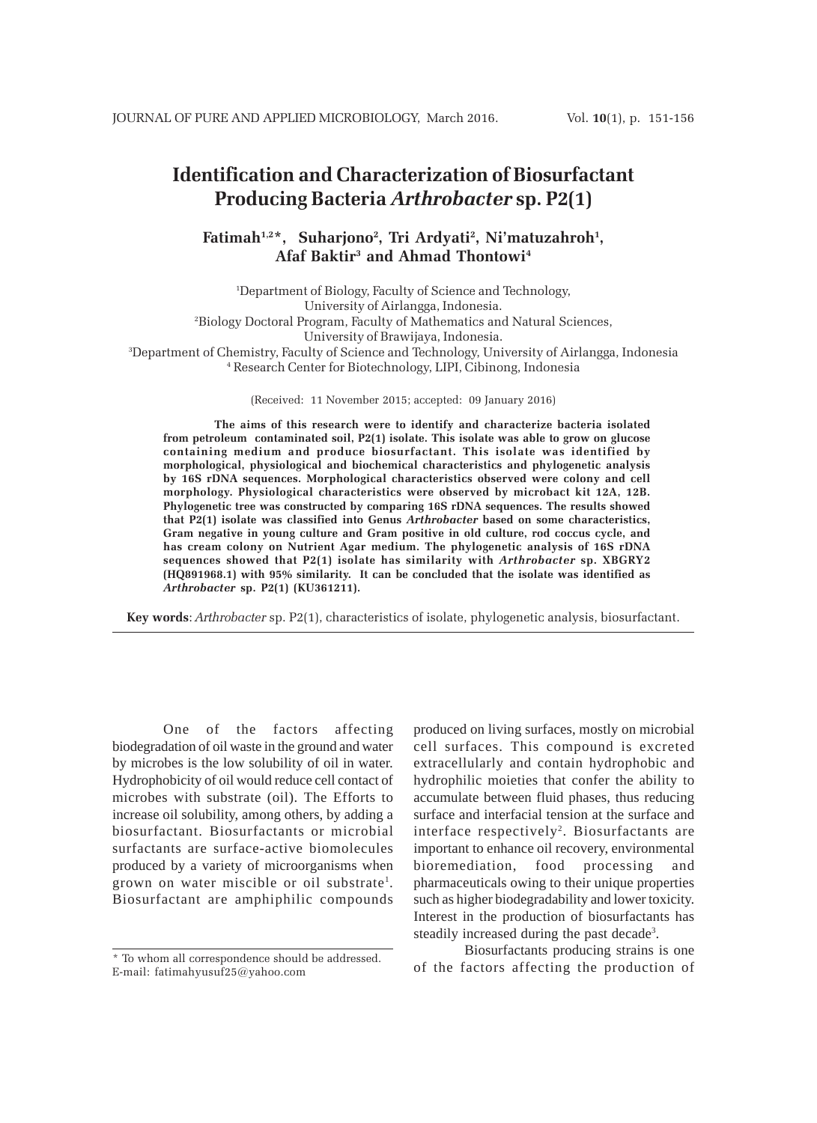# **Identification and Characterization of Biosurfactant Producing Bacteria** *Arthrobacter* **sp. P2(1)**

# **Fatimah1,2\*, Suharjono2 , Tri Ardyati2 , Ni'matuzahroh1 , Afaf Baktir3 and Ahmad Thontowi4**

 Department of Biology, Faculty of Science and Technology, University of Airlangga, Indonesia. Biology Doctoral Program, Faculty of Mathematics and Natural Sciences, University of Brawijaya, Indonesia. Department of Chemistry, Faculty of Science and Technology, University of Airlangga, Indonesia Research Center for Biotechnology, LIPI, Cibinong, Indonesia

(Received: 11 November 2015; accepted: 09 January 2016)

**The aims of this research were to identify and characterize bacteria isolated from petroleum contaminated soil, P2(1) isolate. This isolate was able to grow on glucose containing medium and produce biosurfactant. This isolate was identified by morphological, physiological and biochemical characteristics and phylogenetic analysis by 16S rDNA sequences. Morphological characteristics observed were colony and cell morphology. Physiological characteristics were observed by microbact kit 12A, 12B. Phylogenetic tree was constructed by comparing 16S rDNA sequences. The results showed that P2(1) isolate was classified into Genus** *Arthrobacter* **based on some characteristics, Gram negative in young culture and Gram positive in old culture, rod coccus cycle, and has cream colony on Nutrient Agar medium. The phylogenetic analysis of 16S rDNA sequences showed that P2(1) isolate has similarity with** *Arthrobacter* **sp. XBGRY2 (HQ891968.1) with 95% similarity. It can be concluded that the isolate was identified as** *Arthrobacter* **sp. P2(1) (KU361211).**

**Key words**: *Arthrobacter* sp. P2(1), characteristics of isolate, phylogenetic analysis, biosurfactant.

One of the factors affecting biodegradation of oil waste in the ground and water by microbes is the low solubility of oil in water. Hydrophobicity of oil would reduce cell contact of microbes with substrate (oil). The Efforts to increase oil solubility, among others, by adding a biosurfactant. Biosurfactants or microbial surfactants are surface-active biomolecules produced by a variety of microorganisms when grown on water miscible or oil substrate<sup>1</sup>. Biosurfactant are amphiphilic compounds

produced on living surfaces, mostly on microbial cell surfaces. This compound is excreted extracellularly and contain hydrophobic and hydrophilic moieties that confer the ability to accumulate between fluid phases, thus reducing surface and interfacial tension at the surface and interface respectively<sup>2</sup>. Biosurfactants are important to enhance oil recovery, environmental bioremediation, food processing and pharmaceuticals owing to their unique properties such as higher biodegradability and lower toxicity. Interest in the production of biosurfactants has steadily increased during the past decade<sup>3</sup>.

Biosurfactants producing strains is one of the factors affecting the production of

<sup>\*</sup> To whom all correspondence should be addressed. E-mail: fatimahyusuf25@yahoo.com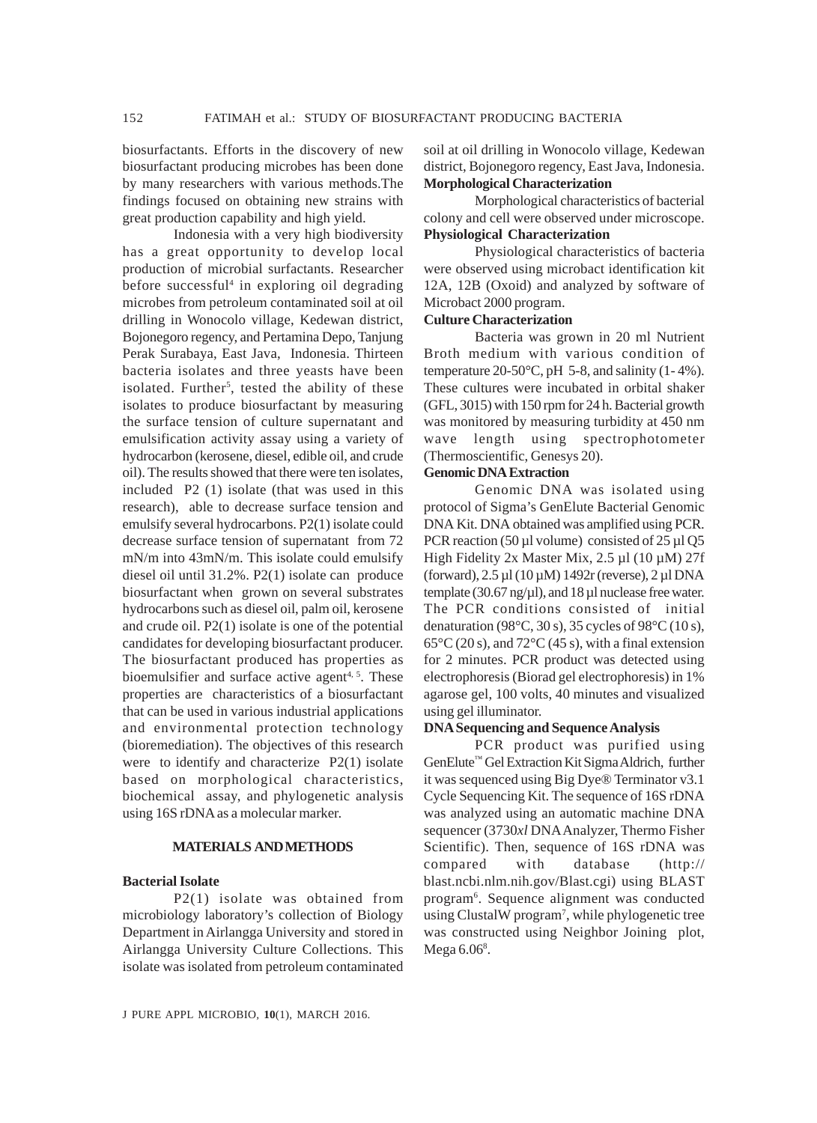biosurfactants. Efforts in the discovery of new biosurfactant producing microbes has been done by many researchers with various methods.The findings focused on obtaining new strains with great production capability and high yield.

Indonesia with a very high biodiversity has a great opportunity to develop local production of microbial surfactants. Researcher before successful<sup>4</sup> in exploring oil degrading microbes from petroleum contaminated soil at oil drilling in Wonocolo village, Kedewan district, Bojonegoro regency, and Pertamina Depo, Tanjung Perak Surabaya, East Java, Indonesia. Thirteen bacteria isolates and three yeasts have been isolated. Further<sup>5</sup>, tested the ability of these isolates to produce biosurfactant by measuring the surface tension of culture supernatant and emulsification activity assay using a variety of hydrocarbon (kerosene, diesel, edible oil, and crude oil). The results showed that there were ten isolates, included P2 (1) isolate (that was used in this research), able to decrease surface tension and emulsify several hydrocarbons. P2(1) isolate could decrease surface tension of supernatant from 72 mN/m into 43mN/m. This isolate could emulsify diesel oil until 31.2%. P2(1) isolate can produce biosurfactant when grown on several substrates hydrocarbons such as diesel oil, palm oil, kerosene and crude oil. P2(1) isolate is one of the potential candidates for developing biosurfactant producer. The biosurfactant produced has properties as bioemulsifier and surface active agent<sup>4, 5</sup>. These properties are characteristics of a biosurfactant that can be used in various industrial applications and environmental protection technology (bioremediation). The objectives of this research were to identify and characterize P2(1) isolate based on morphological characteristics, biochemical assay, and phylogenetic analysis using 16S rDNA as a molecular marker.

#### **MATERIALS AND METHODS**

## **Bacterial Isolate**

P2(1) isolate was obtained from microbiology laboratory's collection of Biology Department in Airlangga University and stored in Airlangga University Culture Collections. This isolate was isolated from petroleum contaminated

soil at oil drilling in Wonocolo village, Kedewan district, Bojonegoro regency, East Java, Indonesia. **Morphological Characterization**

Morphological characteristics of bacterial colony and cell were observed under microscope. **Physiological Characterization**

Physiological characteristics of bacteria were observed using microbact identification kit 12A, 12B (Oxoid) and analyzed by software of Microbact 2000 program.

## **Culture Characterization**

Bacteria was grown in 20 ml Nutrient Broth medium with various condition of temperature 20-50 $\degree$ C, pH 5-8, and salinity (1-4%). These cultures were incubated in orbital shaker (GFL, 3015) with 150 rpm for 24 h. Bacterial growth was monitored by measuring turbidity at 450 nm wave length using spectrophotometer (Thermoscientific, Genesys 20).

#### **GenomicDNA Extraction**

Genomic DNA was isolated using protocol of Sigma's GenElute Bacterial Genomic DNA Kit. DNA obtained was amplified using PCR. PCR reaction (50  $\mu$ l volume) consisted of 25  $\mu$ l Q5 High Fidelity 2x Master Mix,  $2.5 \mu$ l (10  $\mu$ M) 27f (forward), 2.5 µl (10 µM) 1492r (reverse), 2 µl DNA template (30.67 ng/ $\mu$ l), and 18  $\mu$ l nuclease free water. The PCR conditions consisted of initial denaturation (98°C, 30 s), 35 cycles of 98°C (10 s),  $65^{\circ}$ C (20 s), and  $72^{\circ}$ C (45 s), with a final extension for 2 minutes. PCR product was detected using electrophoresis (Biorad gel electrophoresis) in 1% agarose gel, 100 volts, 40 minutes and visualized using gel illuminator.

#### **DNA Sequencing and Sequence Analysis**

PCR product was purified using GenElute™ Gel Extraction Kit Sigma Aldrich, further it was sequenced using Big Dye® Terminator v3.1 Cycle Sequencing Kit. The sequence of 16S rDNA was analyzed using an automatic machine DNA sequencer (3730*xl* DNA Analyzer, Thermo Fisher Scientific). Then, sequence of 16S rDNA was compared with database (http:// blast.ncbi.nlm.nih.gov/Blast.cgi) using BLAST program6 . Sequence alignment was conducted using ClustalW program<sup>7</sup>, while phylogenetic tree was constructed using Neighbor Joining plot, Mega 6.06<sup>8</sup>.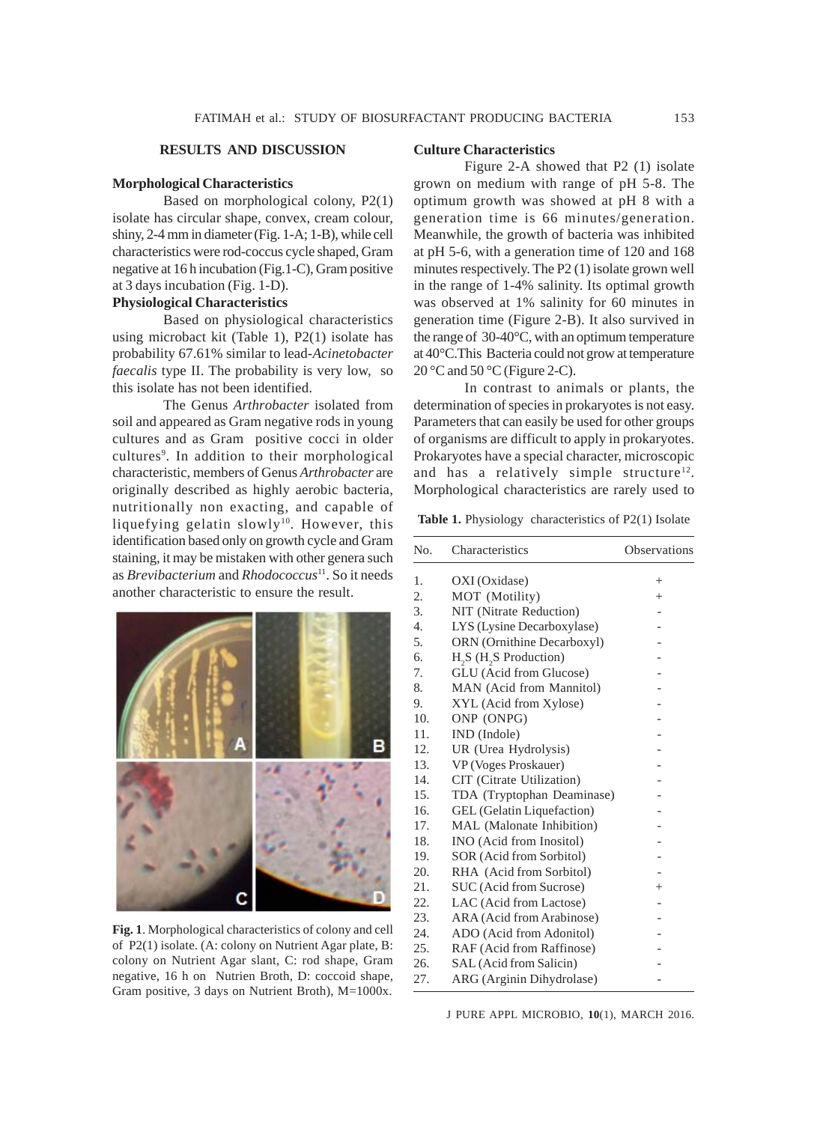#### **Morphological Characteristics**

Based on morphological colony, P2(1) isolate has circular shape, convex, cream colour, shiny, 2-4 mm in diameter (Fig. 1-A; 1-B), while cell characteristics were rod-coccus cycle shaped, Gram negative at 16 h incubation (Fig.1-C), Gram positive at 3 days incubation (Fig. 1-D).

# **Physiological Characteristics**

Based on physiological characteristics using microbact kit (Table 1), P2(1) isolate has probability 67.61% similar to lead-*Acinetobacter faecalis* type II. The probability is very low, so this isolate has not been identified.

The Genus *Arthrobacter* isolated from soil and appeared as Gram negative rods in young cultures and as Gram positive cocci in older cultures<sup>9</sup>. In addition to their morphological characteristic, members of Genus *Arthrobacter* are originally described as highly aerobic bacteria, nutritionally non exacting, and capable of liquefying gelatin slowly<sup>10</sup>. However, this identification based only on growth cycle and Gram staining, it may be mistaken with other genera such as *Brevibacterium* and *Rhodococcus*11. So it needs another characteristic to ensure the result.



**Fig. 1**. Morphological characteristics of colony and cell of P2(1) isolate. (A: colony on Nutrient Agar plate, B: colony on Nutrient Agar slant, C: rod shape, Gram negative, 16 h on Nutrien Broth, D: coccoid shape, Gram positive, 3 days on Nutrient Broth), M=1000x.

#### **Culture Characteristics**

Figure 2-A showed that P2 (1) isolate grown on medium with range of pH 5-8. The optimum growth was showed at pH 8 with a generation time is 66 minutes/generation. Meanwhile, the growth of bacteria was inhibited at pH 5-6, with a generation time of 120 and 168 minutes respectively. The P2 (1) isolate grown well in the range of 1-4% salinity. Its optimal growth was observed at 1% salinity for 60 minutes in generation time (Figure 2-B). It also survived in the range of 30-40°C, with an optimum temperature at 40°C.This Bacteria could not grow at temperature 20 °C and 50 °C (Figure 2-C).

In contrast to animals or plants, the determination of species in prokaryotes is not easy. Parameters that can easily be used for other groups of organisms are difficult to apply in prokaryotes. Prokaryotes have a special character, microscopic and has a relatively simple structure<sup>12</sup>. Morphological characteristics are rarely used to

Table 1. Physiology characteristics of P2(1) Isolate

| No.              | Characteristics                                | Observations |
|------------------|------------------------------------------------|--------------|
| 1.               | OXI (Oxidase)                                  | $^{+}$       |
| 2.               | MOT (Motility)                                 | $^+$         |
| 3.               | NIT (Nitrate Reduction)                        |              |
| $\overline{4}$ . | LYS (Lysine Decarboxylase)                     |              |
| 5.               | ORN (Ornithine Decarboxyl)                     |              |
| 6.               | H <sub>2</sub> S (H <sub>2</sub> S Production) |              |
| 7.               | GLU (Acid from Glucose)                        |              |
| 8.               | MAN (Acid from Mannitol)                       |              |
| 9.               | XYL (Acid from Xylose)                         |              |
| 10.              | ONP (ONPG)                                     |              |
| 11.              | IND (Indole)                                   |              |
| 12.              | UR (Urea Hydrolysis)                           |              |
| 13.              | VP (Voges Proskauer)                           |              |
| 14.              | CIT (Citrate Utilization)                      |              |
| 15.              | TDA (Tryptophan Deaminase)                     |              |
| 16.              | <b>GEL</b> (Gelatin Liquefaction)              |              |
| 17.              | MAL (Malonate Inhibition)                      |              |
| 18.              | INO (Acid from Inositol)                       |              |
| 19.              | SOR (Acid from Sorbitol)                       |              |
| 20.              | RHA (Acid from Sorbitol)                       |              |
| 21.              | SUC (Acid from Sucrose)                        | $^{+}$       |
| 22.              | LAC (Acid from Lactose)                        |              |
| 23.              | ARA (Acid from Arabinose)                      |              |
| 24.              | ADO (Acid from Adonitol)                       |              |
| 25.              | RAF (Acid from Raffinose)                      |              |
| 26.              | SAL (Acid from Salicin)                        |              |
| 27.              | ARG (Arginin Dihydrolase)                      |              |

J PURE APPL MICROBIO*,* **10**(1), MARCH 2016.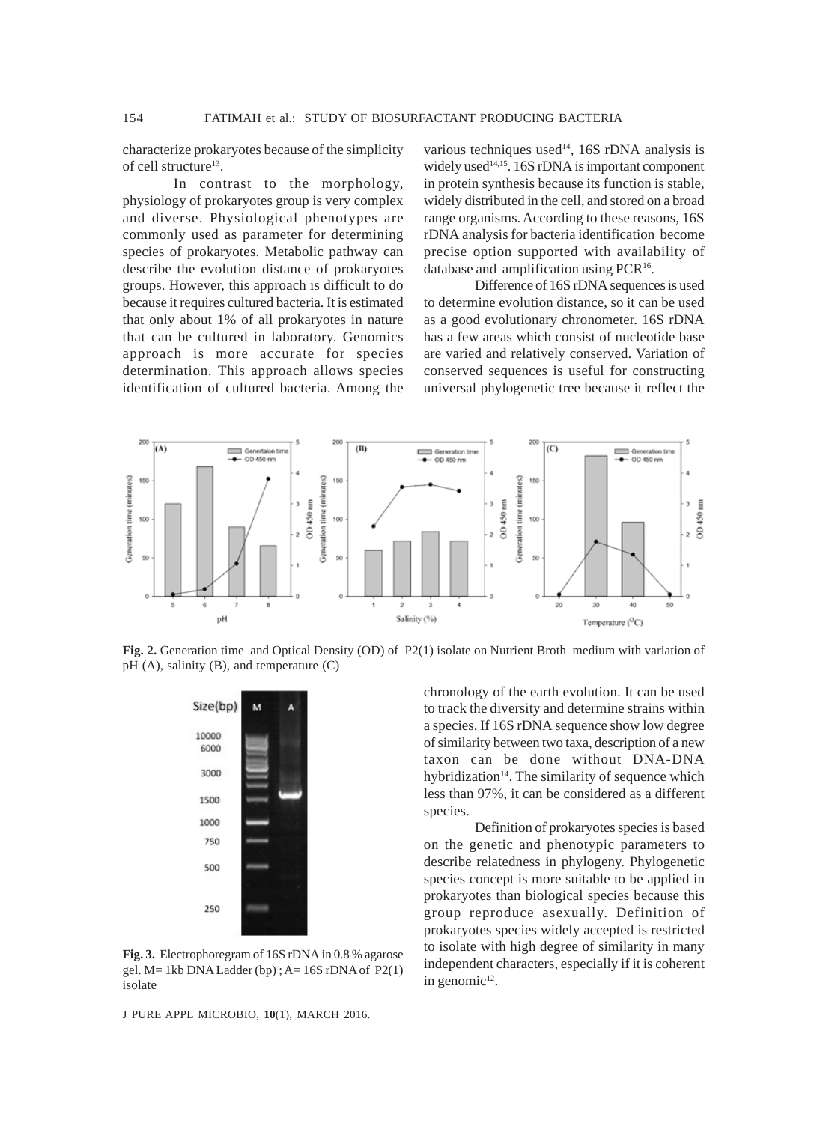characterize prokaryotes because of the simplicity of cell structure<sup>13</sup>.

In contrast to the morphology, physiology of prokaryotes group is very complex and diverse. Physiological phenotypes are commonly used as parameter for determining species of prokaryotes. Metabolic pathway can describe the evolution distance of prokaryotes groups. However, this approach is difficult to do because it requires cultured bacteria. It is estimated that only about 1% of all prokaryotes in nature that can be cultured in laboratory. Genomics approach is more accurate for species determination. This approach allows species identification of cultured bacteria. Among the

various techniques used<sup>14</sup>, 16S rDNA analysis is widely used $14,15$ . 16S rDNA is important component in protein synthesis because its function is stable, widely distributed in the cell, and stored on a broad range organisms. According to these reasons, 16S rDNA analysis for bacteria identification become precise option supported with availability of database and amplification using PCR<sup>16</sup>.

Difference of 16S rDNA sequences is used to determine evolution distance, so it can be used as a good evolutionary chronometer. 16S rDNA has a few areas which consist of nucleotide base are varied and relatively conserved. Variation of conserved sequences is useful for constructing universal phylogenetic tree because it reflect the



**Fig. 2.** Generation time and Optical Density (OD) of P2(1) isolate on Nutrient Broth medium with variation of pH (A), salinity (B), and temperature (C)



**Fig. 3.** Electrophoregram of 16S rDNA in 0.8 % agarose gel.  $M = 1kb$  DNA Ladder (bp);  $A = 16S$  rDNA of  $P2(1)$ isolate

J PURE APPL MICROBIO*,* **10**(1), MARCH 2016.

chronology of the earth evolution. It can be used to track the diversity and determine strains within a species. If 16S rDNA sequence show low degree of similarity between two taxa, description of a new taxon can be done without DNA-DNA hybridization $14$ . The similarity of sequence which less than 97%, it can be considered as a different species.

Definition of prokaryotes species is based on the genetic and phenotypic parameters to describe relatedness in phylogeny. Phylogenetic species concept is more suitable to be applied in prokaryotes than biological species because this group reproduce asexually. Definition of prokaryotes species widely accepted is restricted to isolate with high degree of similarity in many independent characters, especially if it is coherent in genomic $12$ .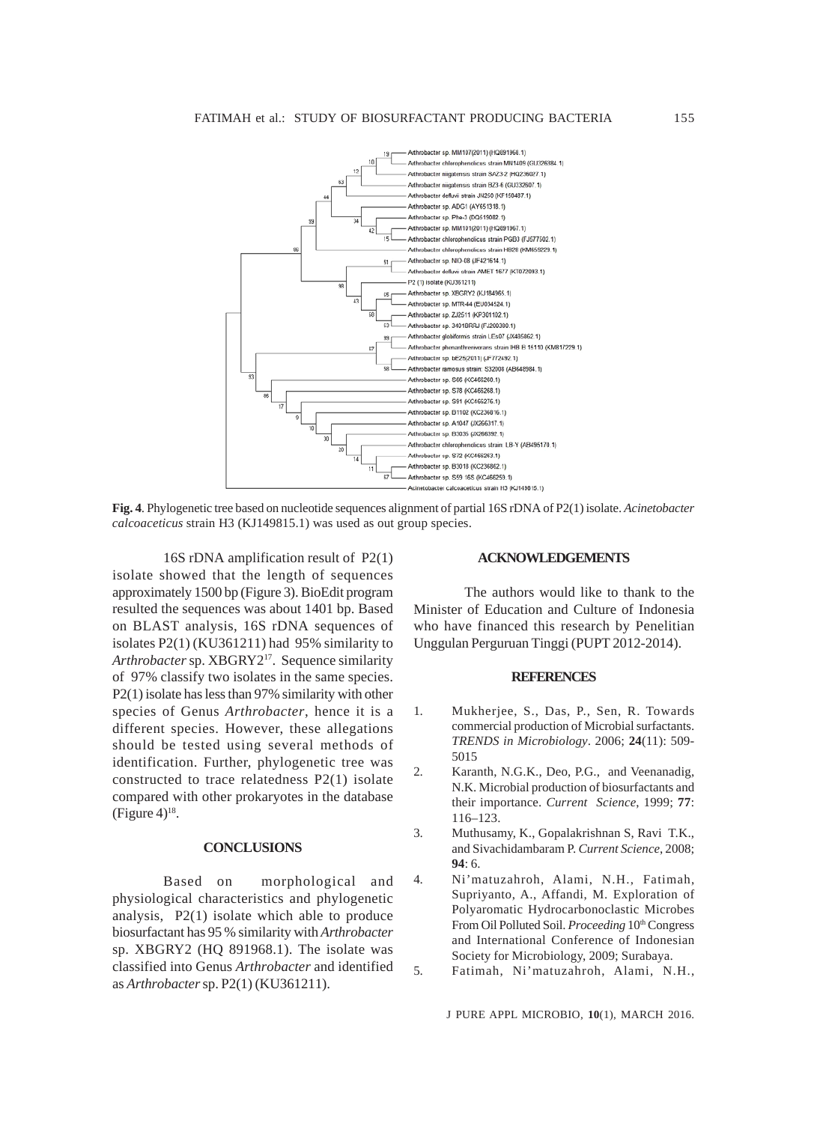

**Fig. 4**. Phylogenetic tree based on nucleotide sequences alignment of partial 16S rDNA of P2(1) isolate. *Acinetobacter calcoaceticus* strain H3 (KJ149815.1) was used as out group species.

16S rDNA amplification result of P2(1) isolate showed that the length of sequences approximately 1500 bp (Figure 3). BioEdit program resulted the sequences was about 1401 bp. Based on BLAST analysis, 16S rDNA sequences of isolates P2(1) (KU361211) had 95% similarity to *Arthrobacter* sp. XBGRY217. Sequence similarity of 97% classify two isolates in the same species. P2(1) isolate has less than 97% similarity with other species of Genus *Arthrobacter*, hence it is a different species. However, these allegations should be tested using several methods of identification. Further, phylogenetic tree was constructed to trace relatedness P2(1) isolate compared with other prokaryotes in the database  $(Figure 4)^{18}$ .

#### **CONCLUSIONS**

Based on morphological and physiological characteristics and phylogenetic analysis, P2(1) isolate which able to produce biosurfactant has 95 % similarity with *Arthrobacter* sp. XBGRY2 (HQ 891968.1). The isolate was classified into Genus *Arthrobacter* and identified as *Arthrobacter* sp. P2(1) (KU361211).

#### **ACKNOWLEDGEMENTS**

The authors would like to thank to the Minister of Education and Culture of Indonesia who have financed this research by Penelitian Unggulan Perguruan Tinggi (PUPT 2012-2014).

#### **REFERENCES**

- 1. Mukherjee, S., Das, P., Sen, R. Towards commercial production of Microbial surfactants. *TRENDS in Microbiology*. 2006; **24**(11): 509- 5015
- 2. Karanth, N.G.K., Deo, P.G., and Veenanadig, N.K. Microbial production of biosurfactants and their importance. *Current Science*, 1999; **77**: 116–123.
- 3. Muthusamy, K., Gopalakrishnan S, Ravi T.K., and Sivachidambaram P. *Current Science*, 2008; **94**: 6.
- 4. Ni'matuzahroh, Alami, N.H., Fatimah, Supriyanto, A., Affandi, M. Exploration of Polyaromatic Hydrocarbonoclastic Microbes From Oil Polluted Soil. *Proceeding* 10<sup>th</sup> Congress and International Conference of Indonesian Society for Microbiology, 2009; Surabaya.
- 5. Fatimah, Ni'matuzahroh, Alami, N.H.,